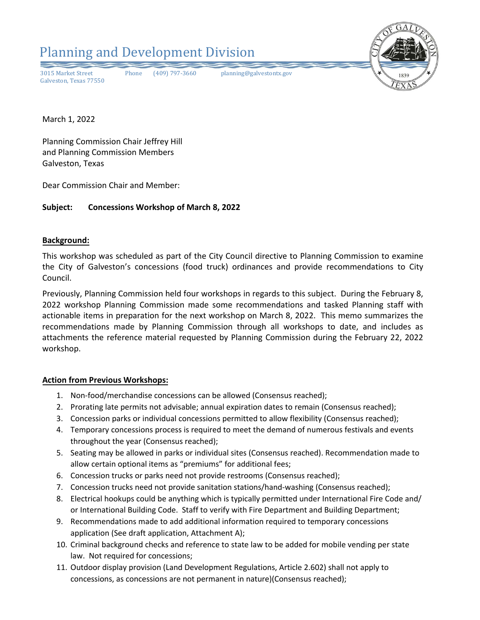

March 1, 2022

Planning Commission Chair Jeffrey Hill and Planning Commission Members Galveston, Texas

Dear Commission Chair and Member:

# **Subject: Concessions Workshop of March 8, 2022**

### **Background:**

This workshop was scheduled as part of the City Council directive to Planning Commission to examine the City of Galveston's concessions (food truck) ordinances and provide recommendations to City Council.

Previously, Planning Commission held four workshops in regards to this subject. During the February 8, 2022 workshop Planning Commission made some recommendations and tasked Planning staff with actionable items in preparation for the next workshop on March 8, 2022. This memo summarizes the recommendations made by Planning Commission through all workshops to date, and includes as attachments the reference material requested by Planning Commission during the February 22, 2022 workshop.

# **Action from Previous Workshops:**

- 1. Non-food/merchandise concessions can be allowed (Consensus reached);
- 2. Prorating late permits not advisable; annual expiration dates to remain (Consensus reached);
- 3. Concession parks or individual concessions permitted to allow flexibility (Consensus reached);
- 4. Temporary concessions process is required to meet the demand of numerous festivals and events throughout the year (Consensus reached);
- 5. Seating may be allowed in parks or individual sites (Consensus reached). Recommendation made to allow certain optional items as "premiums" for additional fees;
- 6. Concession trucks or parks need not provide restrooms (Consensus reached);
- 7. Concession trucks need not provide sanitation stations/hand-washing (Consensus reached);
- 8. Electrical hookups could be anything which is typically permitted under International Fire Code and/ or International Building Code. Staff to verify with Fire Department and Building Department;
- 9. Recommendations made to add additional information required to temporary concessions application (See draft application, Attachment A);
- 10. Criminal background checks and reference to state law to be added for mobile vending per state law. Not required for concessions;
- 11. Outdoor display provision (Land Development Regulations, Article 2.602) shall not apply to concessions, as concessions are not permanent in nature)(Consensus reached);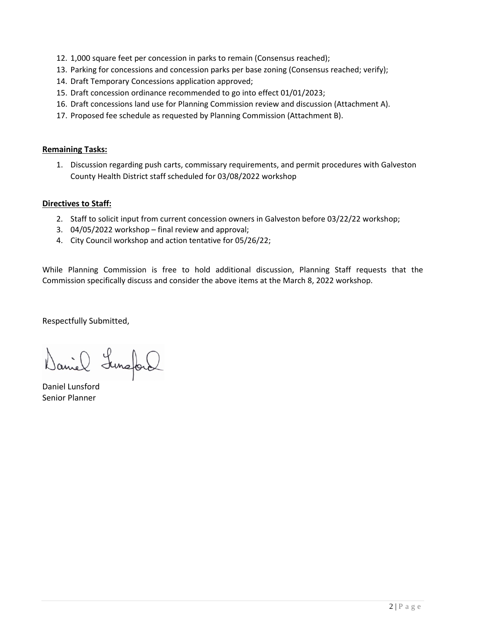- 12. 1,000 square feet per concession in parks to remain (Consensus reached);
- 13. Parking for concessions and concession parks per base zoning (Consensus reached; verify);
- 14. Draft Temporary Concessions application approved;
- 15. Draft concession ordinance recommended to go into effect 01/01/2023;
- 16. Draft concessions land use for Planning Commission review and discussion (Attachment A).
- 17. Proposed fee schedule as requested by Planning Commission (Attachment B).

# **Remaining Tasks:**

1. Discussion regarding push carts, commissary requirements, and permit procedures with Galveston County Health District staff scheduled for 03/08/2022 workshop

# **Directives to Staff:**

- 2. Staff to solicit input from current concession owners in Galveston before 03/22/22 workshop;
- 3. 04/05/2022 workshop final review and approval;
- 4. City Council workshop and action tentative for 05/26/22;

While Planning Commission is free to hold additional discussion, Planning Staff requests that the Commission specifically discuss and consider the above items at the March 8, 2022 workshop.

Respectfully Submitted,

Daniel Lunaford

Daniel Lunsford Senior Planner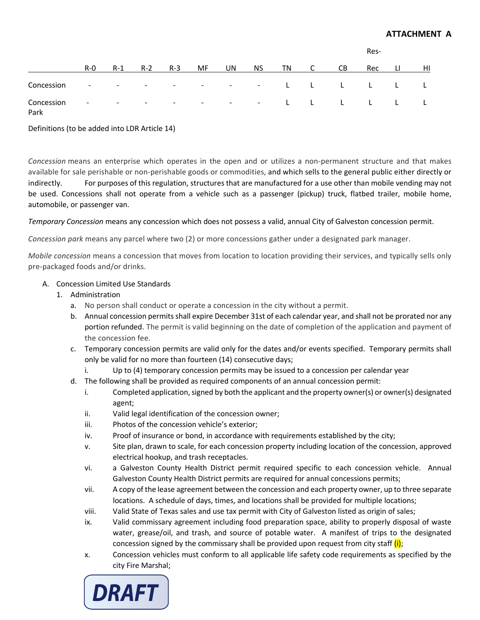|            |         |        |                          |        |                          |     |  |       | Res- |                                                                                                                                                                                                                                |     |                                                |    |
|------------|---------|--------|--------------------------|--------|--------------------------|-----|--|-------|------|--------------------------------------------------------------------------------------------------------------------------------------------------------------------------------------------------------------------------------|-----|------------------------------------------------|----|
|            | $R - 0$ | $R-1$  | $R-2$                    | $R-3$  | MF.                      | UN. |  | NS TN |      | CB.                                                                                                                                                                                                                            | Rec |                                                | HI |
| Concession | $\sim$  |        |                          |        |                          |     |  |       |      | the second control of the second control of the second control of the second control of the second control of the second control of the second control of the second control of the second control of the second control of th |     | $\mathbf{L}$ and $\mathbf{L}$ and $\mathbf{L}$ |    |
| Concession | $\sim$  | $\sim$ | <b>Contract Contract</b> | $\sim$ | <b>Service Contracts</b> |     |  |       |      |                                                                                                                                                                                                                                |     |                                                |    |

Park

Definitions (to be added into LDR Article 14)

*Concession* means an enterprise which operates in the open and or utilizes a non-permanent structure and that makes available for sale perishable or non-perishable goods or commodities, and which sells to the general public either directly or indirectly. For purposes of this regulation, structures that are manufactured for a use other than mobile vending may not be used. Concessions shall not operate from a vehicle such as a passenger (pickup) truck, flatbed trailer, mobile home, automobile, or passenger van.

*Temporary Concession* means any concession which does not possess a valid, annual City of Galveston concession permit.

*Concession park* means any parcel where two (2) or more concessions gather under a designated park manager.

*Mobile concession* means a concession that moves from location to location providing their services, and typically sells only pre-packaged foods and/or drinks.

# A. Concession Limited Use Standards

- 1. Administration
	- a. No person shall conduct or operate a concession in the city without a permit.
	- b. Annual concession permits shall expire December 31st of each calendar year, and shall not be prorated nor any portion refunded. The permit is valid beginning on the date of completion of the application and payment of the concession fee.
	- c. Temporary concession permits are valid only for the dates and/or events specified. Temporary permits shall only be valid for no more than fourteen (14) consecutive days;
		- i. Up to (4) temporary concession permits may be issued to a concession per calendar year
	- d. The following shall be provided as required components of an annual concession permit:
		- i. Completed application, signed by both the applicant and the property owner(s) or owner(s) designated agent;
		- ii. Valid legal identification of the concession owner;
		- iii. Photos of the concession vehicle's exterior;
		- iv. Proof of insurance or bond, in accordance with requirements established by the city;
		- v. Site plan, drawn to scale, for each concession property including location of the concession, approved electrical hookup, and trash receptacles.
		- vi. a Galveston County Health District permit required specific to each concession vehicle. Annual Galveston County Health District permits are required for annual concessions permits;
		- vii. A copy of the lease agreement between the concession and each property owner, up to three separate locations. A schedule of days, times, and locations shall be provided for multiple locations;
		- viii. Valid State of Texas sales and use tax permit with City of Galveston listed as origin of sales;
		- ix. Valid commissary agreement including food preparation space, ability to properly disposal of waste water, grease/oil, and trash, and source of potable water. A manifest of trips to the designated concession signed by the commissary shall be provided upon request from city staff  $(i)$ ;
		- x. Concession vehicles must conform to all applicable life safety code requirements as specified by the city Fire Marshal;

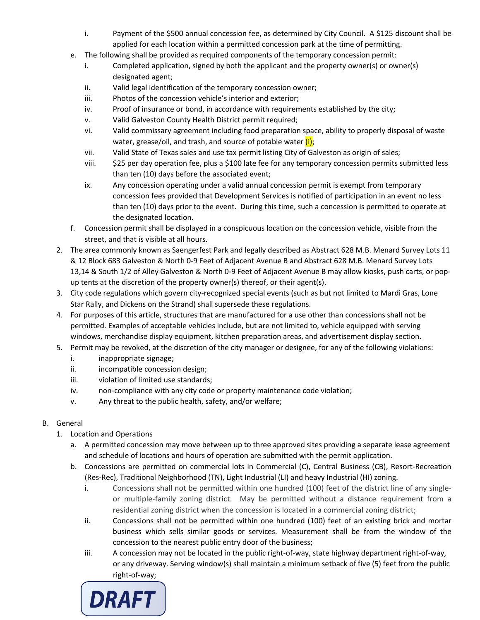- i. Payment of the \$500 annual concession fee, as determined by City Council. A \$125 discount shall be applied for each location within a permitted concession park at the time of permitting.
- e. The following shall be provided as required components of the temporary concession permit:
	- i. Completed application, signed by both the applicant and the property owner(s) or owner(s) designated agent;
	- ii. Valid legal identification of the temporary concession owner;
	- iii. Photos of the concession vehicle's interior and exterior;
	- iv. Proof of insurance or bond, in accordance with requirements established by the city;
	- v. Valid Galveston County Health District permit required;
	- vi. Valid commissary agreement including food preparation space, ability to properly disposal of waste water, grease/oil, and trash, and source of potable water  $(i)$ ;
	- vii. Valid State of Texas sales and use tax permit listing City of Galveston as origin of sales;
	- viii. \$25 per day operation fee, plus a \$100 late fee for any temporary concession permits submitted less than ten (10) days before the associated event;
	- ix. Any concession operating under a valid annual concession permit is exempt from temporary concession fees provided that Development Services is notified of participation in an event no less than ten (10) days prior to the event. During this time, such a concession is permitted to operate at the designated location.
- f. Concession permit shall be displayed in a conspicuous location on the concession vehicle, visible from the street, and that is visible at all hours.
- 2. The area commonly known as Saengerfest Park and legally described as Abstract 628 M.B. Menard Survey Lots 11 & 12 Block 683 Galveston & North 0-9 Feet of Adjacent Avenue B and Abstract 628 M.B. Menard Survey Lots 13,14 & South 1/2 of Alley Galveston & North 0-9 Feet of Adjacent Avenue B may allow kiosks, push carts, or popup tents at the discretion of the property owner(s) thereof, or their agent(s).
- 3. City code regulations which govern city-recognized special events (such as but not limited to Mardi Gras, Lone Star Rally, and Dickens on the Strand) shall supersede these regulations.
- 4. For purposes of this article, structures that are manufactured for a use other than concessions shall not be permitted. Examples of acceptable vehicles include, but are not limited to, vehicle equipped with serving windows, merchandise display equipment, kitchen preparation areas, and advertisement display section.
- 5. Permit may be revoked, at the discretion of the city manager or designee, for any of the following violations:
	- i. inappropriate signage;
	- ii. incompatible concession design;
	- iii. violation of limited use standards;
	- iv. non-compliance with any city code or property maintenance code violation;
	- v. Any threat to the public health, safety, and/or welfare;
- B. General
	- 1. Location and Operations
		- a. A permitted concession may move between up to three approved sites providing a separate lease agreement and schedule of locations and hours of operation are submitted with the permit application.
		- b. Concessions are permitted on commercial lots in Commercial (C), Central Business (CB), Resort-Recreation (Res-Rec), Traditional Neighborhood (TN), Light Industrial (LI) and heavy Industrial (HI) zoning.
			- i. Concessions shall not be permitted within one hundred (100) feet of the district line of any singleor multiple-family zoning district. May be permitted without a distance requirement from a residential zoning district when the concession is located in a commercial zoning district;
			- ii. Concessions shall not be permitted within one hundred (100) feet of an existing brick and mortar business which sells similar goods or services. Measurement shall be from the window of the concession to the nearest public entry door of the business;
			- iii. A concession may not be located in the public right-of-way, state highway department right-of-way, or any driveway. Serving window(s) shall maintain a minimum setback of five (5) feet from the public right-of-way;

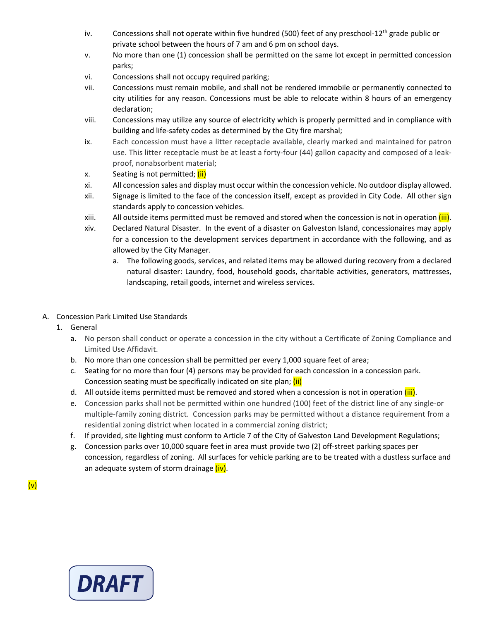- iv. Concessions shall not operate within five hundred (500) feet of any preschool-12<sup>th</sup> grade public or private school between the hours of 7 am and 6 pm on school days.
- v. No more than one (1) concession shall be permitted on the same lot except in permitted concession parks;
- vi. Concessions shall not occupy required parking;
- vii. Concessions must remain mobile, and shall not be rendered immobile or permanently connected to city utilities for any reason. Concessions must be able to relocate within 8 hours of an emergency declaration;
- viii. Concessions may utilize any source of electricity which is properly permitted and in compliance with building and life-safety codes as determined by the City fire marshal;
- ix. Each concession must have a litter receptacle available, clearly marked and maintained for patron use. This litter receptacle must be at least a forty-four (44) gallon capacity and composed of a leakproof, nonabsorbent material;
- x. Seating is not permitted; (ii)
- xi. All concession sales and display must occur within the concession vehicle. No outdoor display allowed.
- xii. Signage is limited to the face of the concession itself, except as provided in City Code. All other sign standards apply to concession vehicles.
- xiii. All outside items permitted must be removed and stored when the concession is not in operation (iii).
- xiv. Declared Natural Disaster. In the event of a disaster on Galveston Island, concessionaires may apply for a concession to the development services department in accordance with the following, and as allowed by the City Manager.
	- a. The following goods, services, and related items may be allowed during recovery from a declared natural disaster: Laundry, food, household goods, charitable activities, generators, mattresses, landscaping, retail goods, internet and wireless services.
- A. Concession Park Limited Use Standards
	- 1. General
		- a. No person shall conduct or operate a concession in the city without a Certificate of Zoning Compliance and Limited Use Affidavit.
		- b. No more than one concession shall be permitted per every 1,000 square feet of area;
		- c. Seating for no more than four (4) persons may be provided for each concession in a concession park. Concession seating must be specifically indicated on site plan; (ii)
		- d. All outside items permitted must be removed and stored when a concession is not in operation (iii).
		- e. Concession parks shall not be permitted within one hundred (100) feet of the district line of any single-or multiple-family zoning district. Concession parks may be permitted without a distance requirement from a residential zoning district when located in a commercial zoning district;
		- f. If provided, site lighting must conform to Article 7 of the City of Galveston Land Development Regulations;
		- g. Concession parks over 10,000 square feet in area must provide two (2) off-street parking spaces per concession, regardless of zoning. All surfaces for vehicle parking are to be treated with a dustless surface and an adequate system of storm drainage (iv).

(v)

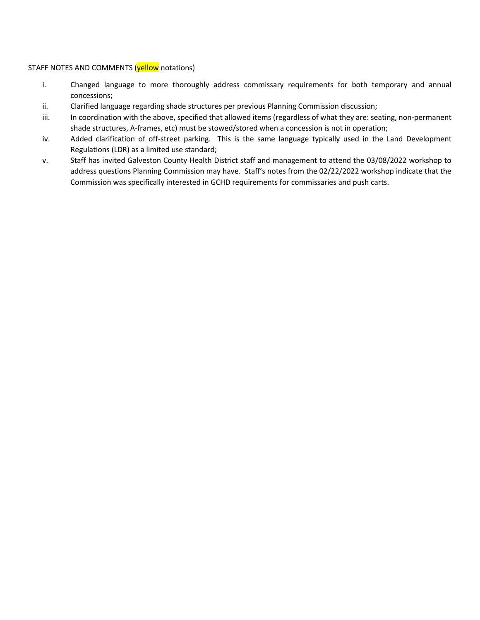### STAFF NOTES AND COMMENTS (yellow notations)

- i. Changed language to more thoroughly address commissary requirements for both temporary and annual concessions;
- ii. Clarified language regarding shade structures per previous Planning Commission discussion;
- iii. In coordination with the above, specified that allowed items (regardless of what they are: seating, non-permanent shade structures, A-frames, etc) must be stowed/stored when a concession is not in operation;
- iv. Added clarification of off-street parking. This is the same language typically used in the Land Development Regulations (LDR) as a limited use standard;
- v. Staff has invited Galveston County Health District staff and management to attend the 03/08/2022 workshop to address questions Planning Commission may have. Staff's notes from the 02/22/2022 workshop indicate that the Commission was specifically interested in GCHD requirements for commissaries and push carts.